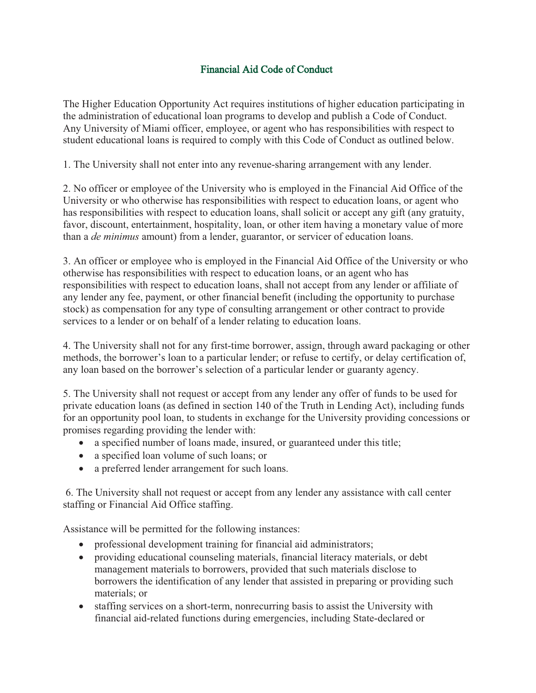## Financial Aid Code of Conduct

The Higher Education Opportunity Act requires institutions of higher education participating in the administration of educational loan programs to develop and publish a Code of Conduct. Any University of Miami officer, employee, or agent who has responsibilities with respect to student educational loans is required to comply with this Code of Conduct as outlined below.

1. The University shall not enter into any revenue-sharing arrangement with any lender.

2. No officer or employee of the University who is employed in the Financial Aid Office of the University or who otherwise has responsibilities with respect to education loans, or agent who has responsibilities with respect to education loans, shall solicit or accept any gift (any gratuity, favor, discount, entertainment, hospitality, loan, or other item having a monetary value of more than a *de minimus* amount) from a lender, guarantor, or servicer of education loans.

3. An officer or employee who is employed in the Financial Aid Office of the University or who otherwise has responsibilities with respect to education loans, or an agent who has responsibilities with respect to education loans, shall not accept from any lender or affiliate of any lender any fee, payment, or other financial benefit (including the opportunity to purchase stock) as compensation for any type of consulting arrangement or other contract to provide services to a lender or on behalf of a lender relating to education loans.

4. The University shall not for any first-time borrower, assign, through award packaging or other methods, the borrower's loan to a particular lender; or refuse to certify, or delay certification of, any loan based on the borrower's selection of a particular lender or guaranty agency.

5. The University shall not request or accept from any lender any offer of funds to be used for private education loans (as defined in section 140 of the Truth in Lending Act), including funds for an opportunity pool loan, to students in exchange for the University providing concessions or promises regarding providing the lender with:

- a specified number of loans made, insured, or guaranteed under this title;
- a specified loan volume of such loans; or
- a preferred lender arrangement for such loans.

6. The University shall not request or accept from any lender any assistance with call center staffing or Financial Aid Office staffing.

Assistance will be permitted for the following instances:

- professional development training for financial aid administrators;
- providing educational counseling materials, financial literacy materials, or debt management materials to borrowers, provided that such materials disclose to borrowers the identification of any lender that assisted in preparing or providing such materials; or
- staffing services on a short-term, nonrecurring basis to assist the University with financial aid-related functions during emergencies, including State-declared or